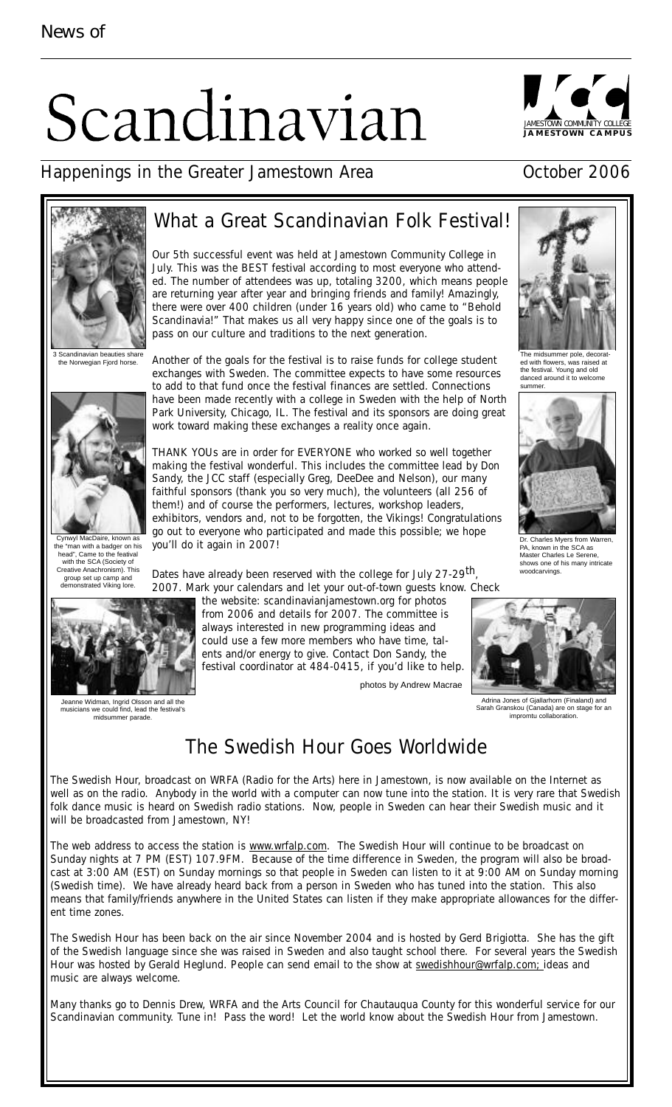# Scandinavian



### Happenings in the Greater Jamestown Area **East Communist Contract Contract** Contract Contract Contract Contract Contract Contract Contract Contract Contract Contract Contract Contract Contract Contract Contract Contract Co





Scandinav the Norwegian Fjord horse.



Cynwyl MacDaire, known as the "man with a badger on his head", Came to the featival with the SCA (Society of Creative Anachronism). This group set up camp and demonstrated Viking lore.

## What a Great Scandinavian Folk Festival!

Our 5th successful event was held at Jamestown Community College in July. This was the BEST festival according to most everyone who attended. The number of attendees was up, totaling 3200, which means people are returning year after year and bringing friends and family! Amazingly, there were over 400 children (under 16 years old) who came to "Behold Scandinavia!" That makes us all very happy since one of the goals is to pass on our culture and traditions to the next generation.

Another of the goals for the festival is to raise funds for college student exchanges with Sweden. The committee expects to have some resources to add to that fund once the festival finances are settled. Connections have been made recently with a college in Sweden with the help of North Park University, Chicago, IL. The festival and its sponsors are doing great work toward making these exchanges a reality once again.

THANK YOUs are in order for EVERYONE who worked so well together making the festival wonderful. This includes the committee lead by Don Sandy, the JCC staff (especially Greg, DeeDee and Nelson), our many faithful sponsors (thank you so very much), the volunteers (all 256 of them!) and of course the performers, lectures, workshop leaders, exhibitors, vendors and, not to be forgotten, the Vikings! Congratulations go out to everyone who participated and made this possible; we hope you'll do it again in 2007!

Dates have already been reserved with the college for July 27-29<sup>th</sup>, 2007. Mark your calendars and let your out-of-town guests know. Check



Jeanne Widman, Ingrid Olsson and all the musicians we could find, lead the festival's midsummer parade.

the website: scandinavianjamestown.org for photos from 2006 and details for 2007. The committee is always interested in new programming ideas and could use a few more members who have time, talents and/or energy to give. Contact Don Sandy, the festival coordinator at 484-0415, if you'd like to help.

photos by Andrew Macrae



he midsummer pole, decora ed with flowers, was raised at the festival. Young and old danced around it to welcome summer.



Dr. Charles Myers from Warren, PA, known in the SCA as Master Charles Le Serene, shows one of his many intricate woodcarvings.



Adrina Jones of Gjallarhorn (Finaland) and<br>arah Granskou (Canada) are on stage for a ada) are on stage for an skou (Canada) are on :<br>impromtu collaboration.

## The Swedish Hour Goes Worldwide

The Swedish Hour, broadcast on WRFA (Radio for the Arts) here in Jamestown, is now available on the Internet as well as on the radio. Anybody in the world with a computer can now tune into the station. It is very rare that Swedish folk dance music is heard on Swedish radio stations. Now, people in Sweden can hear their Swedish music and it will be broadcasted from Jamestown, NY!

The web address to access the station is www.wrfalp.com. The Swedish Hour will continue to be broadcast on Sunday nights at 7 PM (EST) 107.9FM. Because of the time difference in Sweden, the program will also be broadcast at 3:00 AM (EST) on Sunday mornings so that people in Sweden can listen to it at 9:00 AM on Sunday morning (Swedish time). We have already heard back from a person in Sweden who has tuned into the station. This also means that family/friends anywhere in the United States can listen if they make appropriate allowances for the different time zones.

The Swedish Hour has been back on the air since November 2004 and is hosted by Gerd Brigiotta. She has the gift of the Swedish language since she was raised in Sweden and also taught school there. For several years the Swedish Hour was hosted by Gerald Heglund. People can send email to the show at swedishhour@wrfalp.com; ideas and music are always welcome.

Many thanks go to Dennis Drew, WRFA and the Arts Council for Chautauqua County for this wonderful service for our Scandinavian community. Tune in! Pass the word! Let the world know about the Swedish Hour from Jamestown.